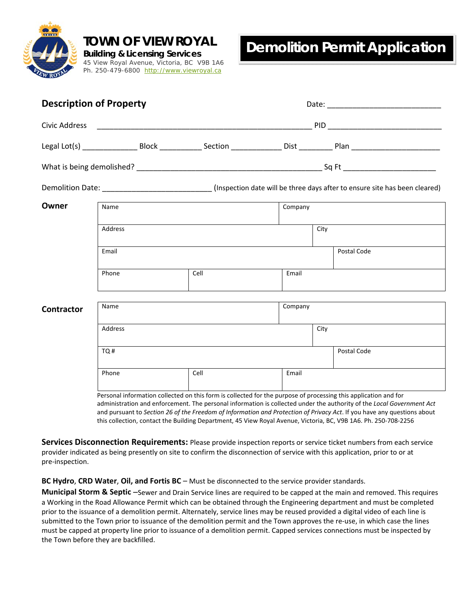

**TOWN OF VIEW ROYAL**  *Building & Licensing Services*

45 View Royal Avenue, Victoria, BC V9B 1A6 Ph. 250-479-6800 http://www.viewroyal.ca

# **Demolition Permit Application**

|            | <b>Description of Property</b> |      |         |                                                                                                                                                                                                                                                                                                                                                                     |
|------------|--------------------------------|------|---------|---------------------------------------------------------------------------------------------------------------------------------------------------------------------------------------------------------------------------------------------------------------------------------------------------------------------------------------------------------------------|
|            |                                |      |         |                                                                                                                                                                                                                                                                                                                                                                     |
|            |                                |      |         |                                                                                                                                                                                                                                                                                                                                                                     |
|            |                                |      |         |                                                                                                                                                                                                                                                                                                                                                                     |
|            |                                |      |         | Demolition Date: _________________________________(Inspection date will be three days after to ensure site has been cleared)                                                                                                                                                                                                                                        |
| Owner      | Name                           |      | Company |                                                                                                                                                                                                                                                                                                                                                                     |
|            | Address                        |      |         | City                                                                                                                                                                                                                                                                                                                                                                |
|            | Email                          |      |         | Postal Code                                                                                                                                                                                                                                                                                                                                                         |
|            | Phone                          | Cell | Email   |                                                                                                                                                                                                                                                                                                                                                                     |
|            | Name                           |      | Company |                                                                                                                                                                                                                                                                                                                                                                     |
| Contractor |                                |      |         |                                                                                                                                                                                                                                                                                                                                                                     |
|            | Address                        |      |         | City                                                                                                                                                                                                                                                                                                                                                                |
|            | TQ#                            |      |         | Postal Code                                                                                                                                                                                                                                                                                                                                                         |
|            | Phone                          | Cell | Email   |                                                                                                                                                                                                                                                                                                                                                                     |
|            |                                |      |         | Personal information collected on this form is collected for the purpose of processing this application and for<br>administration and enforcement. The personal information is collected under the authority of the Local Government Act<br>and pursuant to Section 26 of the Freedom of Information and Protection of Privacy Act. If you have any questions about |

this collection, contact the Building Department, 45 View Royal Avenue, Victoria, BC, V9B 1A6. Ph. 250‐708‐2256

**Services Disconnection Requirements:** Please provide inspection reports or service ticket numbers from each service provider indicated as being presently on site to confirm the disconnection of service with this application, prior to or at pre‐inspection.

**BC Hydro**, **CRD Water**, **Oil, and Fortis BC** – Must be disconnected to the service provider standards.

**Municipal Storm & Septic** –Sewer and Drain Service lines are required to be capped at the main and removed. This requires a Working in the Road Allowance Permit which can be obtained through the Engineering department and must be completed prior to the issuance of a demolition permit. Alternately, service lines may be reused provided a digital video of each line is submitted to the Town prior to issuance of the demolition permit and the Town approves the re-use, in which case the lines must be capped at property line prior to issuance of a demolition permit. Capped services connections must be inspected by the Town before they are backfilled.